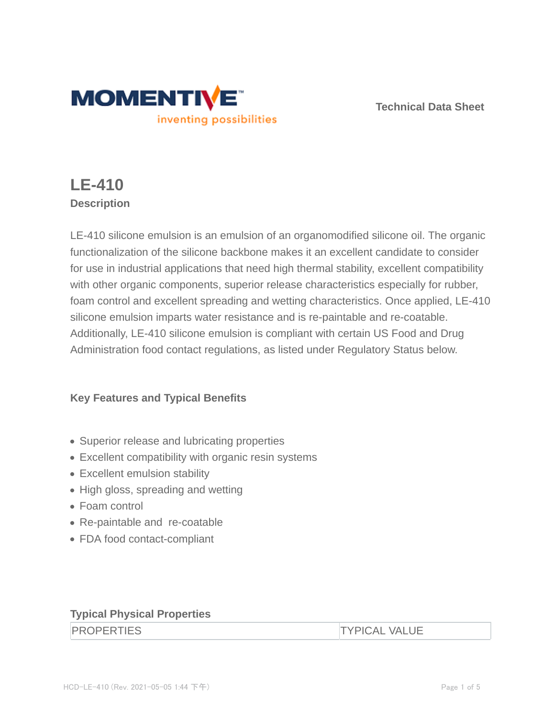

**Technical Data Sheet**

# **LE-410 Description**

LE-410 silicone emulsion is an emulsion of an organomodified silicone oil. The organic functionalization of the silicone backbone makes it an excellent candidate to consider for use in industrial applications that need high thermal stability, excellent compatibility with other organic components, superior release characteristics especially for rubber, foam control and excellent spreading and wetting characteristics. Once applied, LE-410 silicone emulsion imparts water resistance and is re-paintable and re-coatable. Additionally, LE-410 silicone emulsion is compliant with certain US Food and Drug Administration food contact regulations, as listed under Regulatory Status below.

# **Key Features and Typical Benefits**

- Superior release and lubricating properties
- Excellent compatibility with organic resin systems
- Excellent emulsion stability
- High gloss, spreading and wetting
- Foam control
- Re-paintable and re-coatable
- FDA food contact-compliant

# **Typical Physical Properties**

**TYPICAL VALUE**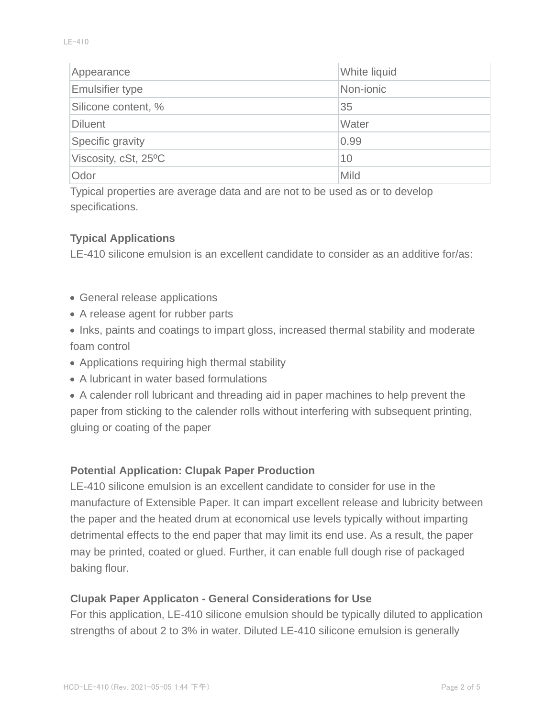| Appearance             | White liquid |
|------------------------|--------------|
| <b>Emulsifier type</b> | Non-jonic    |
| Silicone content, %    | 35           |
| Diluent                | Water        |
| Specific gravity       | 0.99         |
| Viscosity, cSt, 25°C   | 10           |
| Odor                   | Mild         |

Typical properties are average data and are not to be used as or to develop specifications.

## **Typical Applications**

LE-410 silicone emulsion is an excellent candidate to consider as an additive for/as:

- General release applications
- A release agent for rubber parts
- Inks, paints and coatings to impart gloss, increased thermal stability and moderate foam control
- Applications requiring high thermal stability
- A lubricant in water based formulations

A calender roll lubricant and threading aid in paper machines to help prevent the paper from sticking to the calender rolls without interfering with subsequent printing, gluing or coating of the paper

#### **Potential Application: Clupak Paper Production**

LE-410 silicone emulsion is an excellent candidate to consider for use in the manufacture of Extensible Paper. It can impart excellent release and lubricity between the paper and the heated drum at economical use levels typically without imparting detrimental effects to the end paper that may limit its end use. As a result, the paper may be printed, coated or glued. Further, it can enable full dough rise of packaged baking flour.

#### **Clupak Paper Applicaton - General Considerations for Use**

For this application, LE-410 silicone emulsion should be typically diluted to application strengths of about 2 to 3% in water. Diluted LE-410 silicone emulsion is generally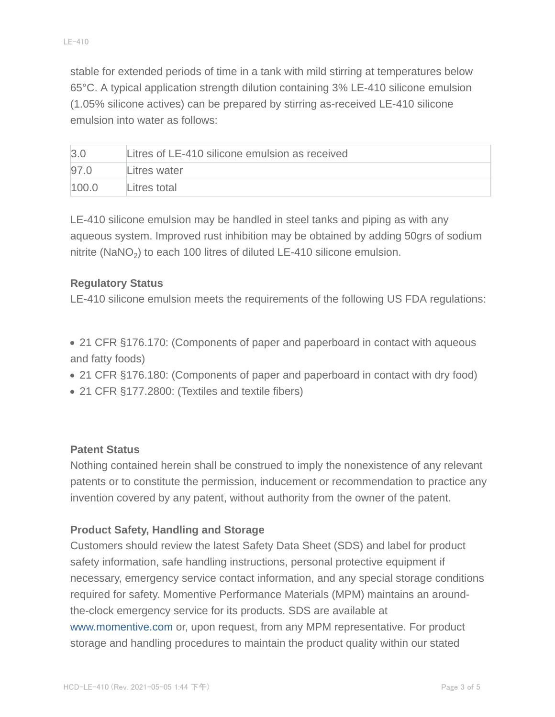stable for extended periods of time in a tank with mild stirring at temperatures below 65°C. A typical application strength dilution containing 3% LE-410 silicone emulsion (1.05% silicone actives) can be prepared by stirring as-received LE-410 silicone emulsion into water as follows:

| $\beta$ . | Litres of LE-410 silicone emulsion as received |
|-----------|------------------------------------------------|
| 97.0      | Litres water                                   |
| 100.0     | Litres total                                   |

LE-410 silicone emulsion may be handled in steel tanks and piping as with any aqueous system. Improved rust inhibition may be obtained by adding 50grs of sodium nitrite (NaNO<sub>2</sub>) to each 100 litres of diluted LE-410 silicone emulsion.

## **Regulatory Status**

LE-410 silicone emulsion meets the requirements of the following US FDA regulations:

- 21 CFR §176.170: (Components of paper and paperboard in contact with aqueous and fatty foods)
- 21 CFR §176.180: (Components of paper and paperboard in contact with dry food)
- 21 CFR §177.2800: (Textiles and textile fibers)

#### **Patent Status**

Nothing contained herein shall be construed to imply the nonexistence of any relevant patents or to constitute the permission, inducement or recommendation to practice any invention covered by any patent, without authority from the owner of the patent.

## **Product Safety, Handling and Storage**

Customers should review the latest Safety Data Sheet (SDS) and label for product safety information, safe handling instructions, personal protective equipment if necessary, emergency service contact information, and any special storage conditions required for safety. Momentive Performance Materials (MPM) maintains an aroundthe-clock emergency service for its products. SDS are available at www.momentive.com or, upon request, from any MPM representative. For product storage and handling procedures to maintain the product quality within our stated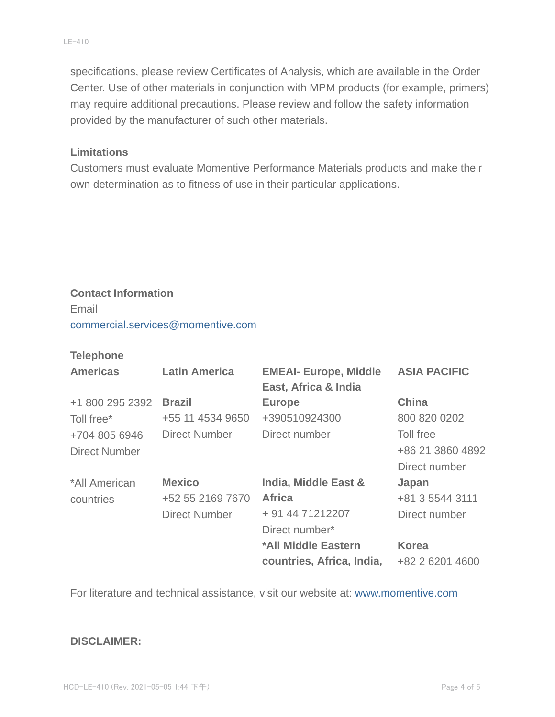specifications, please review Certificates of Analysis, which are available in the Order Center. Use of other materials in conjunction with MPM products (for example, primers) may require additional precautions. Please review and follow the safety information provided by the manufacturer of such other materials.

#### **Limitations**

Customers must evaluate Momentive Performance Materials products and make their own determination as to fitness of use in their particular applications.

# **Contact Information** Email commercial.services@momentive.com

#### **Telephone**

| <b>Americas</b>      | <b>Latin America</b> | <b>EMEAI- Europe, Middle</b><br>East, Africa & India | <b>ASIA PACIFIC</b> |
|----------------------|----------------------|------------------------------------------------------|---------------------|
| +1 800 295 2392      | <b>Brazil</b>        | <b>Europe</b>                                        | <b>China</b>        |
| Toll free*           | +55 11 4534 9650     | +390510924300                                        | 800 820 0202        |
| +704 805 6946        | Direct Number        | Direct number                                        | Toll free           |
| <b>Direct Number</b> |                      |                                                      | +86 21 3860 4892    |
|                      |                      |                                                      | Direct number       |
| *All American        | <b>Mexico</b>        | India, Middle East &                                 | Japan               |
| countries            | +52 55 2169 7670     | <b>Africa</b>                                        | +81 3 5544 3111     |
|                      | <b>Direct Number</b> | + 91 44 71212207                                     | Direct number       |
|                      |                      | Direct number*                                       |                     |
|                      |                      | *All Middle Eastern                                  | <b>Korea</b>        |
|                      |                      | countries, Africa, India,                            | +82 2 6201 4600     |

For literature and technical assistance, visit our website at: www.momentive.com

#### **DISCLAIMER:**